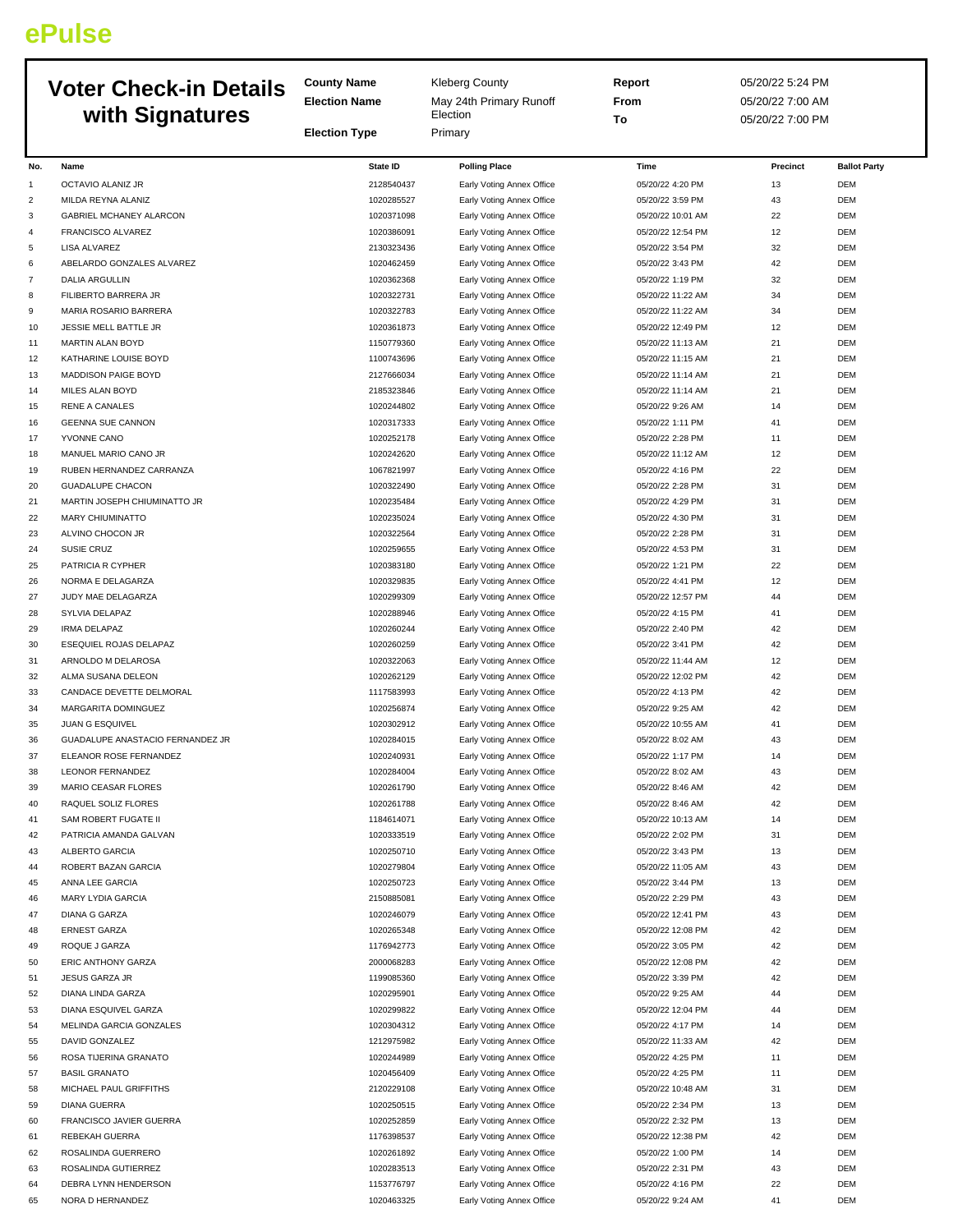## **ePulse**

|                |                                                   | <b>County Name</b>       | <b>Kleberg County</b>                                  | Report                                 | 05/20/22 5:24 PM |                          |
|----------------|---------------------------------------------------|--------------------------|--------------------------------------------------------|----------------------------------------|------------------|--------------------------|
|                | <b>Voter Check-in Details</b>                     | <b>Election Name</b>     | May 24th Primary Runoff                                | From                                   | 05/20/22 7:00 AM |                          |
|                | with Signatures                                   |                          | Election                                               | To                                     | 05/20/22 7:00 PM |                          |
|                |                                                   | <b>Election Type</b>     | Primary                                                |                                        |                  |                          |
| No.            | Name                                              | <b>State ID</b>          | <b>Polling Place</b>                                   | Time                                   | Precinct         | <b>Ballot Party</b>      |
| 1              | OCTAVIO ALANIZ JR                                 | 2128540437               | Early Voting Annex Office                              | 05/20/22 4:20 PM                       | 13               | <b>DEM</b>               |
| $\overline{c}$ | MILDA REYNA ALANIZ                                | 1020285527               | Early Voting Annex Office                              | 05/20/22 3:59 PM                       | 43               | <b>DEM</b>               |
| 3              | <b>GABRIEL MCHANEY ALARCON</b>                    | 1020371098               | Early Voting Annex Office                              | 05/20/22 10:01 AM                      | 22               | <b>DEM</b>               |
| 4              | FRANCISCO ALVAREZ                                 | 1020386091               | Early Voting Annex Office                              | 05/20/22 12:54 PM                      | 12               | <b>DEM</b>               |
| 5              | <b>LISA ALVAREZ</b>                               | 2130323436               | Early Voting Annex Office                              | 05/20/22 3:54 PM                       | 32               | <b>DEM</b>               |
| 6              | ABELARDO GONZALES ALVAREZ                         | 1020462459               | Early Voting Annex Office                              | 05/20/22 3:43 PM                       | 42               | <b>DEM</b>               |
| 7              | <b>DALIA ARGULLIN</b>                             | 1020362368               | Early Voting Annex Office                              | 05/20/22 1:19 PM                       | 32               | <b>DEM</b>               |
| 8              | FILIBERTO BARRERA JR                              | 1020322731               | Early Voting Annex Office                              | 05/20/22 11:22 AM                      | 34               | <b>DEM</b>               |
| 9<br>10        | MARIA ROSARIO BARRERA<br>JESSIE MELL BATTLE JR    | 1020322783<br>1020361873 | Early Voting Annex Office<br>Early Voting Annex Office | 05/20/22 11:22 AM<br>05/20/22 12:49 PM | 34<br>12         | <b>DEM</b><br><b>DEM</b> |
| 11             | MARTIN ALAN BOYD                                  | 1150779360               | Early Voting Annex Office                              | 05/20/22 11:13 AM                      | 21               | <b>DEM</b>               |
| 12             | KATHARINE LOUISE BOYD                             | 1100743696               | Early Voting Annex Office                              | 05/20/22 11:15 AM                      | 21               | <b>DEM</b>               |
| 13             | <b>MADDISON PAIGE BOYD</b>                        | 2127666034               | Early Voting Annex Office                              | 05/20/22 11:14 AM                      | 21               | <b>DEM</b>               |
| 14             | MILES ALAN BOYD                                   | 2185323846               | Early Voting Annex Office                              | 05/20/22 11:14 AM                      | 21               | <b>DEM</b>               |
| 15             | <b>RENE A CANALES</b>                             | 1020244802               | Early Voting Annex Office                              | 05/20/22 9:26 AM                       | 14               | <b>DEM</b>               |
| 16             | <b>GEENNA SUE CANNON</b>                          | 1020317333               | Early Voting Annex Office                              | 05/20/22 1:11 PM                       | 41               | <b>DEM</b>               |
| 17             | YVONNE CANO                                       | 1020252178               | Early Voting Annex Office                              | 05/20/22 2:28 PM                       | 11               | <b>DEM</b>               |
| 18             | MANUEL MARIO CANO JR                              | 1020242620               | Early Voting Annex Office                              | 05/20/22 11:12 AM                      | 12               | <b>DEM</b>               |
| 19             | RUBEN HERNANDEZ CARRANZA                          | 1067821997               | Early Voting Annex Office                              | 05/20/22 4:16 PM                       | 22               | <b>DEM</b>               |
| 20             | <b>GUADALUPE CHACON</b>                           | 1020322490               | Early Voting Annex Office                              | 05/20/22 2:28 PM                       | 31               | <b>DEM</b>               |
| 21             | MARTIN JOSEPH CHIUMINATTO JR                      | 1020235484               | Early Voting Annex Office                              | 05/20/22 4:29 PM                       | 31               | <b>DEM</b>               |
| 22             | <b>MARY CHIUMINATTO</b>                           | 1020235024               | Early Voting Annex Office                              | 05/20/22 4:30 PM                       | 31               | <b>DEM</b>               |
| 23             | ALVINO CHOCON JR<br><b>SUSIE CRUZ</b>             | 1020322564<br>1020259655 | Early Voting Annex Office                              | 05/20/22 2:28 PM<br>05/20/22 4:53 PM   | 31<br>31         | <b>DEM</b><br><b>DEM</b> |
| 24<br>25       | PATRICIA R CYPHER                                 | 1020383180               | Early Voting Annex Office<br>Early Voting Annex Office | 05/20/22 1:21 PM                       | 22               | <b>DEM</b>               |
| 26             | NORMA E DELAGARZA                                 | 1020329835               | Early Voting Annex Office                              | 05/20/22 4:41 PM                       | 12               | <b>DEM</b>               |
| 27             | JUDY MAE DELAGARZA                                | 1020299309               | Early Voting Annex Office                              | 05/20/22 12:57 PM                      | 44               | <b>DEM</b>               |
| 28             | SYLVIA DELAPAZ                                    | 1020288946               | Early Voting Annex Office                              | 05/20/22 4:15 PM                       | 41               | <b>DEM</b>               |
| 29             | <b>IRMA DELAPAZ</b>                               | 1020260244               | Early Voting Annex Office                              | 05/20/22 2:40 PM                       | 42               | <b>DEM</b>               |
| 30             | ESEQUIEL ROJAS DELAPAZ                            | 1020260259               | Early Voting Annex Office                              | 05/20/22 3:41 PM                       | 42               | <b>DEM</b>               |
| 31             | ARNOLDO M DELAROSA                                | 1020322063               | Early Voting Annex Office                              | 05/20/22 11:44 AM                      | 12               | <b>DEM</b>               |
| 32             | ALMA SUSANA DELEON                                | 1020262129               | Early Voting Annex Office                              | 05/20/22 12:02 PM                      | 42               | <b>DEM</b>               |
| 33             | CANDACE DEVETTE DELMORAL                          | 1117583993               | Early Voting Annex Office                              | 05/20/22 4:13 PM                       | 42               | <b>DEM</b>               |
| 34             | MARGARITA DOMINGUEZ                               | 1020256874               | Early Voting Annex Office                              | 05/20/22 9:25 AM                       | 42               | <b>DEM</b>               |
| 35             | JUAN G ESQUIVEL                                   | 1020302912               | Early Voting Annex Office                              | 05/20/22 10:55 AM                      | 41               | <b>DEM</b>               |
| 36             | GUADALUPE ANASTACIO FERNANDEZ JR                  | 1020284015               | Early Voting Annex Office                              | 05/20/22 8:02 AM                       | 43               | <b>DEM</b>               |
| 37             | ELEANOR ROSE FERNANDEZ<br><b>LEONOR FERNANDEZ</b> | 1020240931               | Early Voting Annex Office                              | 05/20/22 1:17 PM                       | 14               | DEM                      |
| 38<br>39       | MARIO CEASAR FLORES                               | 1020284004<br>1020261790 | Early Voting Annex Office<br>Early Voting Annex Office | 05/20/22 8:02 AM<br>05/20/22 8:46 AM   | 43<br>42         | DEM<br>DEM               |
| 40             | RAQUEL SOLIZ FLORES                               | 1020261788               | Early Voting Annex Office                              | 05/20/22 8:46 AM                       | 42               | DEM                      |
| 41             | SAM ROBERT FUGATE II                              | 1184614071               | Early Voting Annex Office                              | 05/20/22 10:13 AM                      | 14               | <b>DEM</b>               |
| 42             | PATRICIA AMANDA GALVAN                            | 1020333519               | Early Voting Annex Office                              | 05/20/22 2:02 PM                       | 31               | <b>DEM</b>               |
| 43             | ALBERTO GARCIA                                    | 1020250710               | Early Voting Annex Office                              | 05/20/22 3:43 PM                       | 13               | DEM                      |
| 44             | ROBERT BAZAN GARCIA                               | 1020279804               | Early Voting Annex Office                              | 05/20/22 11:05 AM                      | 43               | DEM                      |
| 45             | ANNA LEE GARCIA                                   | 1020250723               | Early Voting Annex Office                              | 05/20/22 3:44 PM                       | 13               | DEM                      |
| 46             | <b>MARY LYDIA GARCIA</b>                          | 2150885081               | Early Voting Annex Office                              | 05/20/22 2:29 PM                       | 43               | <b>DEM</b>               |
| 47             | <b>DIANA G GARZA</b>                              | 1020246079               | Early Voting Annex Office                              | 05/20/22 12:41 PM                      | 43               | DEM                      |
| 48             | <b>ERNEST GARZA</b>                               | 1020265348               | Early Voting Annex Office                              | 05/20/22 12:08 PM                      | 42               | DEM                      |
| 49             | ROQUE J GARZA                                     | 1176942773               | Early Voting Annex Office                              | 05/20/22 3:05 PM                       | 42               | DEM                      |
| 50             | ERIC ANTHONY GARZA                                | 2000068283               | Early Voting Annex Office                              | 05/20/22 12:08 PM                      | 42               | DEM                      |
| 51             | JESUS GARZA JR                                    | 1199085360               | Early Voting Annex Office                              | 05/20/22 3:39 PM                       | 42               | <b>DEM</b>               |
| 52<br>53       | DIANA LINDA GARZA<br>DIANA ESQUIVEL GARZA         | 1020295901<br>1020299822 | Early Voting Annex Office                              | 05/20/22 9:25 AM<br>05/20/22 12:04 PM  | 44<br>44         | <b>DEM</b><br>DEM        |
| 54             | MELINDA GARCIA GONZALES                           | 1020304312               | Early Voting Annex Office<br>Early Voting Annex Office | 05/20/22 4:17 PM                       | 14               | DEM                      |
| 55             | DAVID GONZALEZ                                    | 1212975982               | Early Voting Annex Office                              | 05/20/22 11:33 AM                      | 42               | DEM                      |
| 56             | ROSA TIJERINA GRANATO                             | 1020244989               | Early Voting Annex Office                              | 05/20/22 4:25 PM                       | 11               | <b>DEM</b>               |
| 57             | <b>BASIL GRANATO</b>                              | 1020456409               | Early Voting Annex Office                              | 05/20/22 4:25 PM                       | 11               | DEM                      |
| 58             | MICHAEL PAUL GRIFFITHS                            | 2120229108               | Early Voting Annex Office                              | 05/20/22 10:48 AM                      | 31               | <b>DEM</b>               |
| 59             | <b>DIANA GUERRA</b>                               | 1020250515               | Early Voting Annex Office                              | 05/20/22 2:34 PM                       | 13               | DEM                      |
| 60             | FRANCISCO JAVIER GUERRA                           | 1020252859               | Early Voting Annex Office                              | 05/20/22 2:32 PM                       | 13               | DEM                      |
| 61             | REBEKAH GUERRA                                    | 1176398537               | Early Voting Annex Office                              | 05/20/22 12:38 PM                      | 42               | <b>DEM</b>               |
| 62             | ROSALINDA GUERRERO                                | 1020261892               | Early Voting Annex Office                              | 05/20/22 1:00 PM                       | 14               | <b>DEM</b>               |
| 63             | ROSALINDA GUTIERREZ                               | 1020283513               | Early Voting Annex Office                              | 05/20/22 2:31 PM                       | 43               | <b>DEM</b>               |
| 64             | DEBRA LYNN HENDERSON                              | 1153776797               | Early Voting Annex Office                              | 05/20/22 4:16 PM                       | 22               | DEM                      |
| 65             | NORA D HERNANDEZ                                  | 1020463325               | Early Voting Annex Office                              | 05/20/22 9:24 AM                       | 41               | DEM                      |